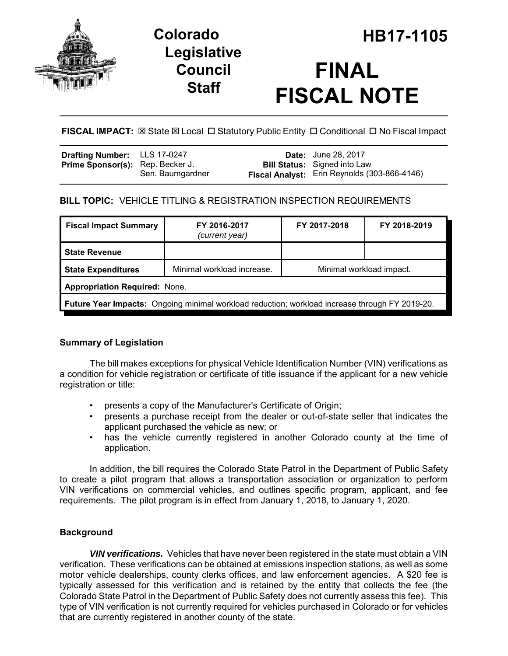

## **Legislative Council Staff**

# **FINAL FISCAL NOTE**

**FISCAL IMPACT:**  $\boxtimes$  State  $\boxtimes$  Local  $\Box$  Statutory Public Entity  $\Box$  Conditional  $\Box$  No Fiscal Impact

| Drafting Number: LLS 17-0247            |                  | <b>Date:</b> June 28, 2017                   |
|-----------------------------------------|------------------|----------------------------------------------|
| <b>Prime Sponsor(s):</b> Rep. Becker J. |                  | <b>Bill Status:</b> Signed into Law          |
|                                         | Sen. Baumgardner | Fiscal Analyst: Erin Reynolds (303-866-4146) |

## **BILL TOPIC:** VEHICLE TITLING & REGISTRATION INSPECTION REQUIREMENTS

| <b>Fiscal Impact Summary</b>                                                                          | FY 2016-2017<br>(current year) | FY 2017-2018             | FY 2018-2019 |  |  |  |
|-------------------------------------------------------------------------------------------------------|--------------------------------|--------------------------|--------------|--|--|--|
| <b>State Revenue</b>                                                                                  |                                |                          |              |  |  |  |
| <b>State Expenditures</b>                                                                             | Minimal workload increase.     | Minimal workload impact. |              |  |  |  |
| <b>Appropriation Required: None.</b>                                                                  |                                |                          |              |  |  |  |
| <b>Future Year Impacts:</b> Ongoing minimal workload reduction; workload increase through FY 2019-20. |                                |                          |              |  |  |  |

## **Summary of Legislation**

The bill makes exceptions for physical Vehicle Identification Number (VIN) verifications as a condition for vehicle registration or certificate of title issuance if the applicant for a new vehicle registration or title:

- presents a copy of the Manufacturer's Certificate of Origin;
- presents a purchase receipt from the dealer or out-of-state seller that indicates the applicant purchased the vehicle as new; or
- has the vehicle currently registered in another Colorado county at the time of application.

In addition, the bill requires the Colorado State Patrol in the Department of Public Safety to create a pilot program that allows a transportation association or organization to perform VIN verifications on commercial vehicles, and outlines specific program, applicant, and fee requirements. The pilot program is in effect from January 1, 2018, to January 1, 2020.

## **Background**

*VIN verifications.* Vehicles that have never been registered in the state must obtain a VIN verification. These verifications can be obtained at emissions inspection stations, as well as some motor vehicle dealerships, county clerks offices, and law enforcement agencies. A \$20 fee is typically assessed for this verification and is retained by the entity that collects the fee (the Colorado State Patrol in the Department of Public Safety does not currently assess this fee). This type of VIN verification is not currently required for vehicles purchased in Colorado or for vehicles that are currently registered in another county of the state.